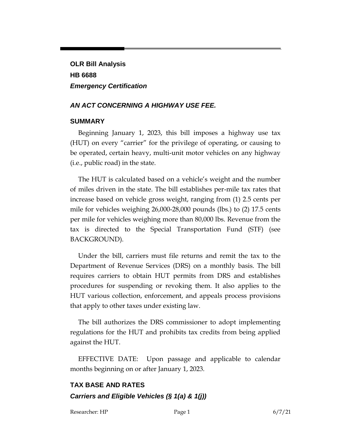**OLR Bill Analysis HB 6688** *Emergency Certification*

#### *AN ACT CONCERNING A HIGHWAY USE FEE.*

#### **SUMMARY**

Beginning January 1, 2023, this bill imposes a highway use tax (HUT) on every "carrier" for the privilege of operating, or causing to be operated, certain heavy, multi-unit motor vehicles on any highway (i.e., public road) in the state.

The HUT is calculated based on a vehicle's weight and the number of miles driven in the state. The bill establishes per-mile tax rates that increase based on vehicle gross weight, ranging from (1) 2.5 cents per mile for vehicles weighing 26,000-28,000 pounds (lbs.) to (2) 17.5 cents per mile for vehicles weighing more than 80,000 lbs. Revenue from the tax is directed to the Special Transportation Fund (STF) (see BACKGROUND).

Under the bill, carriers must file returns and remit the tax to the Department of Revenue Services (DRS) on a monthly basis. The bill requires carriers to obtain HUT permits from DRS and establishes procedures for suspending or revoking them. It also applies to the HUT various collection, enforcement, and appeals process provisions that apply to other taxes under existing law.

The bill authorizes the DRS commissioner to adopt implementing regulations for the HUT and prohibits tax credits from being applied against the HUT.

EFFECTIVE DATE: Upon passage and applicable to calendar months beginning on or after January 1, 2023.

## **TAX BASE AND RATES** *Carriers and Eligible Vehicles (§ 1(a) & 1(j))*

Researcher: HP Page 1 6/7/21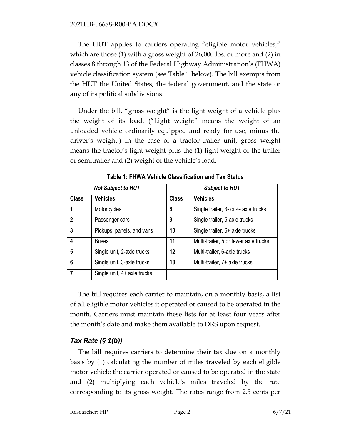The HUT applies to carriers operating "eligible motor vehicles," which are those (1) with a gross weight of 26,000 lbs. or more and (2) in classes 8 through 13 of the Federal Highway Administration's (FHWA) vehicle classification system (see Table 1 below). The bill exempts from the HUT the United States, the federal government, and the state or any of its political subdivisions.

Under the bill, "gross weight" is the light weight of a vehicle plus the weight of its load. ("Light weight" means the weight of an unloaded vehicle ordinarily equipped and ready for use, minus the driver's weight.) In the case of a tractor-trailer unit, gross weight means the tractor's light weight plus the (1) light weight of the trailer or semitrailer and (2) weight of the vehicle's load.

| <b>Not Subject to HUT</b> |                             | <b>Subject to HUT</b> |                                       |
|---------------------------|-----------------------------|-----------------------|---------------------------------------|
| <b>Class</b>              | <b>Vehicles</b>             | <b>Class</b>          | <b>Vehicles</b>                       |
|                           | Motorcycles                 | 8                     | Single trailer, 3- or 4- axle trucks  |
| $\mathbf{c}$              | Passenger cars              | 9                     | Single trailer, 5-axle trucks         |
| 3                         | Pickups, panels, and vans   | 10                    | Single trailer, 6+ axle trucks        |
| 4                         | <b>Buses</b>                | 11                    | Multi-trailer, 5 or fewer axle trucks |
| 5                         | Single unit, 2-axle trucks  | 12                    | Multi-trailer, 6-axle trucks          |
| 6                         | Single unit, 3-axle trucks  | 13                    | Multi-trailer, 7+ axle trucks         |
| 7                         | Single unit, 4+ axle trucks |                       |                                       |

**Table 1: FHWA Vehicle Classification and Tax Status**

The bill requires each carrier to maintain, on a monthly basis, a list of all eligible motor vehicles it operated or caused to be operated in the month. Carriers must maintain these lists for at least four years after the month's date and make them available to DRS upon request.

### *Tax Rate (§ 1(b))*

The bill requires carriers to determine their tax due on a monthly basis by (1) calculating the number of miles traveled by each eligible motor vehicle the carrier operated or caused to be operated in the state and (2) multiplying each vehicle's miles traveled by the rate corresponding to its gross weight. The rates range from 2.5 cents per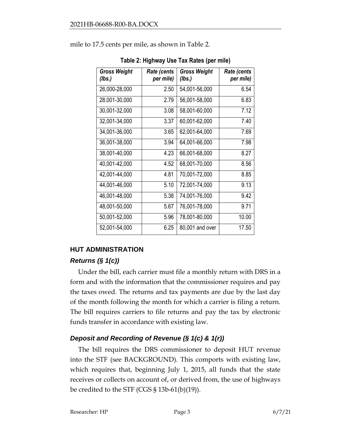| Table 2: Highway Use Tax Rates (per mile) |                            |                               |            |  |  |  |
|-------------------------------------------|----------------------------|-------------------------------|------------|--|--|--|
| <b>Gross Weight</b><br>(lbs.)             | Rate (cents  <br>per mile) | <b>Gross Weight</b><br>(lbs.) | Rate<br>рe |  |  |  |
| 26,000-28,000                             | 2.50                       | 54,001-56,000                 |            |  |  |  |
| 28,001-30,000                             | 2.79                       | 56,001-58,000                 |            |  |  |  |
|                                           | . .                        |                               |            |  |  |  |

mile to 17.5 cents per mile, as shown in Table 2.

# *Rate (cents per mile)* 26,000-28,000 2.50 54,001-56,000 6.54 28,001-30,000 2.79 56,001-58,000 6.83 30,001-32,000 3.08 58,001-60,000 7.12 32,001-34,000 3.37 60,001-62,000 7.40 34,001-36,000 3.65 62,001-64,000 7.69 36,001-38,000 3.94 64,001-66,000 7.98 38,001-40,000 | 4.23 66,001-68,000 | 8.27 40,001-42,000 4.52 68,001-70,000 8.56 42,001-44,000 4.81 70,001-72,000 8.85 44,001-46,000 5.10 72,001-74,000 9.13 46,001-48,000 5.38 74,001-76,000 9.42 48,001-50,000 5.67 76,001-78,000 9.71 50,001-52,000 5.96 78,001-80,000 10.00 52,001-54,000 6.25 80,001 and over 17.50

### **HUT ADMINISTRATION**

### *Returns (§ 1(c))*

Under the bill, each carrier must file a monthly return with DRS in a form and with the information that the commissioner requires and pay the taxes owed. The returns and tax payments are due by the last day of the month following the month for which a carrier is filing a return. The bill requires carriers to file returns and pay the tax by electronic funds transfer in accordance with existing law.

## *Deposit and Recording of Revenue (§ 1(c) & 1(r))*

The bill requires the DRS commissioner to deposit HUT revenue into the STF (see BACKGROUND). This comports with existing law, which requires that, beginning July 1, 2015, all funds that the state receives or collects on account of, or derived from, the use of highways be credited to the STF (CGS  $\S$  13b-61(b)(19)).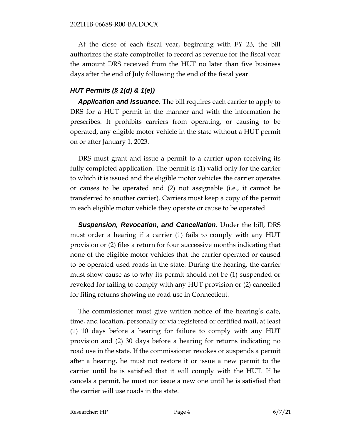At the close of each fiscal year, beginning with FY 23, the bill authorizes the state comptroller to record as revenue for the fiscal year the amount DRS received from the HUT no later than five business days after the end of July following the end of the fiscal year.

### *HUT Permits (§ 1(d) & 1(e))*

*Application and Issuance.* The bill requires each carrier to apply to DRS for a HUT permit in the manner and with the information he prescribes. It prohibits carriers from operating, or causing to be operated, any eligible motor vehicle in the state without a HUT permit on or after January 1, 2023.

DRS must grant and issue a permit to a carrier upon receiving its fully completed application. The permit is (1) valid only for the carrier to which it is issued and the eligible motor vehicles the carrier operates or causes to be operated and (2) not assignable (i.e., it cannot be transferred to another carrier). Carriers must keep a copy of the permit in each eligible motor vehicle they operate or cause to be operated.

*Suspension, Revocation, and Cancellation.* Under the bill, DRS must order a hearing if a carrier (1) fails to comply with any HUT provision or (2) files a return for four successive months indicating that none of the eligible motor vehicles that the carrier operated or caused to be operated used roads in the state. During the hearing, the carrier must show cause as to why its permit should not be (1) suspended or revoked for failing to comply with any HUT provision or (2) cancelled for filing returns showing no road use in Connecticut.

The commissioner must give written notice of the hearing's date, time, and location, personally or via registered or certified mail, at least (1) 10 days before a hearing for failure to comply with any HUT provision and (2) 30 days before a hearing for returns indicating no road use in the state. If the commissioner revokes or suspends a permit after a hearing, he must not restore it or issue a new permit to the carrier until he is satisfied that it will comply with the HUT. If he cancels a permit, he must not issue a new one until he is satisfied that the carrier will use roads in the state.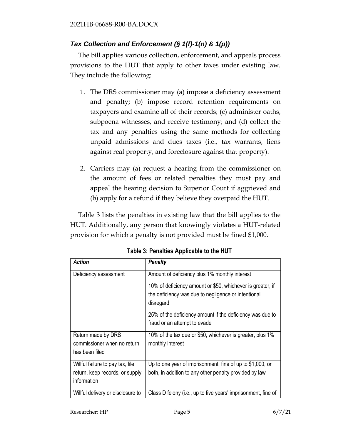### *Tax Collection and Enforcement (§ 1(f)-1(n) & 1(p))*

The bill applies various collection, enforcement, and appeals process provisions to the HUT that apply to other taxes under existing law. They include the following:

- 1. The DRS commissioner may (a) impose a deficiency assessment and penalty; (b) impose record retention requirements on taxpayers and examine all of their records; (c) administer oaths, subpoena witnesses, and receive testimony; and (d) collect the tax and any penalties using the same methods for collecting unpaid admissions and dues taxes (i.e., tax warrants, liens against real property, and foreclosure against that property).
- 2. Carriers may (a) request a hearing from the commissioner on the amount of fees or related penalties they must pay and appeal the hearing decision to Superior Court if aggrieved and (b) apply for a refund if they believe they overpaid the HUT.

Table 3 lists the penalties in existing law that the bill applies to the HUT. Additionally, any person that knowingly violates a HUT-related provision for which a penalty is not provided must be fined \$1,000.

| <b>Action</b>                                  | <b>Penalty</b>                                                                                                                 |
|------------------------------------------------|--------------------------------------------------------------------------------------------------------------------------------|
| Deficiency assessment                          | Amount of deficiency plus 1% monthly interest                                                                                  |
|                                                | 10% of deficiency amount or \$50, whichever is greater, if<br>the deficiency was due to negligence or intentional<br>disregard |
|                                                | 25% of the deficiency amount if the deficiency was due to<br>fraud or an attempt to evade                                      |
| Return made by DRS                             | 10% of the tax due or \$50, whichever is greater, plus 1%                                                                      |
| commissioner when no return<br>has been filed  | monthly interest                                                                                                               |
| Willful failure to pay tax, file               | Up to one year of imprisonment, fine of up to \$1,000, or                                                                      |
| return, keep records, or supply<br>information | both, in addition to any other penalty provided by law                                                                         |
| Willful delivery or disclosure to              | Class D felony (i.e., up to five years' imprisonment, fine of                                                                  |

**Table 3: Penalties Applicable to the HUT**